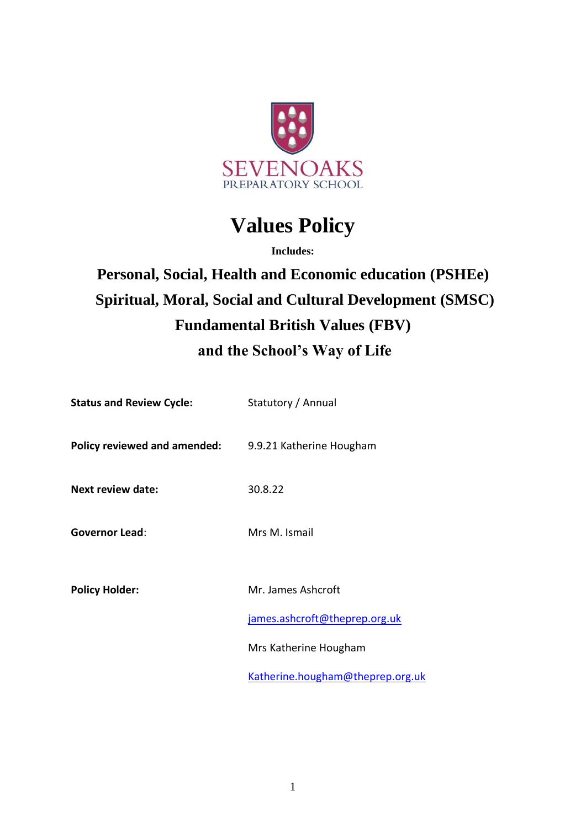

# **Values Policy**

**Includes:**

## **Personal, Social, Health and Economic education (PSHEe) Spiritual, Moral, Social and Cultural Development (SMSC) Fundamental British Values (FBV) and the School's Way of Life**

| <b>Status and Review Cycle:</b> | Statutory / Annual               |
|---------------------------------|----------------------------------|
| Policy reviewed and amended:    | 9.9.21 Katherine Hougham         |
| <b>Next review date:</b>        | 30.8.22                          |
| <b>Governor Lead:</b>           | Mrs M. Ismail                    |
| <b>Policy Holder:</b>           | Mr. James Ashcroft               |
|                                 | james.ashcroft@theprep.org.uk    |
|                                 | Mrs Katherine Hougham            |
|                                 | Katherine.hougham@theprep.org.uk |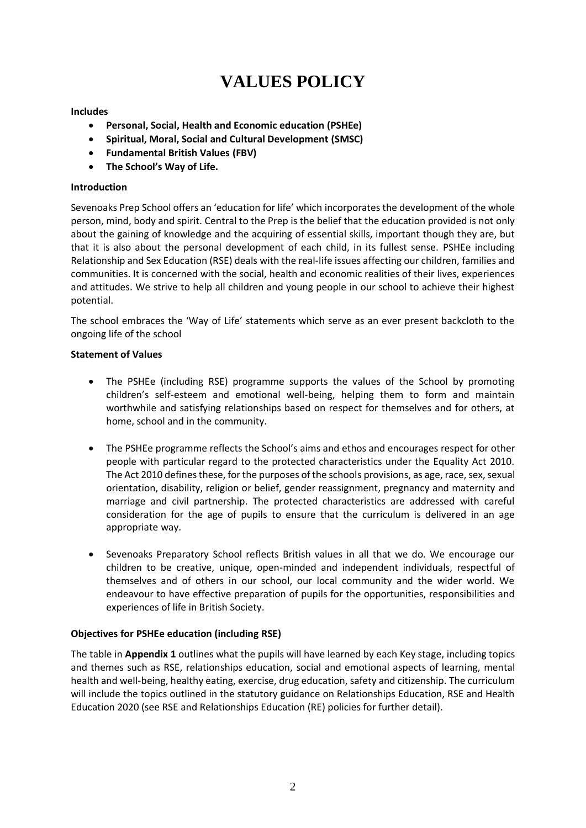## **VALUES POLICY**

## **Includes**

- **Personal, Social, Health and Economic education (PSHEe)**
- **Spiritual, Moral, Social and Cultural Development (SMSC)**
- **Fundamental British Values (FBV)**
- **The School's Way of Life.**

## **Introduction**

Sevenoaks Prep School offers an 'education for life' which incorporates the development of the whole person, mind, body and spirit. Central to the Prep is the belief that the education provided is not only about the gaining of knowledge and the acquiring of essential skills, important though they are, but that it is also about the personal development of each child, in its fullest sense. PSHEe including Relationship and Sex Education (RSE) deals with the real-life issues affecting our children, families and communities. It is concerned with the social, health and economic realities of their lives, experiences and attitudes. We strive to help all children and young people in our school to achieve their highest potential.

The school embraces the 'Way of Life' statements which serve as an ever present backcloth to the ongoing life of the school

## **Statement of Values**

- The PSHEe (including RSE) programme supports the values of the School by promoting children's self-esteem and emotional well-being, helping them to form and maintain worthwhile and satisfying relationships based on respect for themselves and for others, at home, school and in the community.
- The PSHEe programme reflects the School's aims and ethos and encourages respect for other people with particular regard to the protected characteristics under the Equality Act 2010. The Act 2010 defines these, for the purposes of the schools provisions, as age, race, sex, sexual orientation, disability, religion or belief, gender reassignment, pregnancy and maternity and marriage and civil partnership. The protected characteristics are addressed with careful consideration for the age of pupils to ensure that the curriculum is delivered in an age appropriate way.
- Sevenoaks Preparatory School reflects British values in all that we do. We encourage our children to be creative, unique, open-minded and independent individuals, respectful of themselves and of others in our school, our local community and the wider world. We endeavour to have effective preparation of pupils for the opportunities, responsibilities and experiences of life in British Society.

## **Objectives for PSHEe education (including RSE)**

The table in **Appendix 1** outlines what the pupils will have learned by each Key stage, including topics and themes such as RSE, relationships education, social and emotional aspects of learning, mental health and well-being, healthy eating, exercise, drug education, safety and citizenship. The curriculum will include the topics outlined in the statutory guidance on Relationships Education, RSE and Health Education 2020 (see RSE and Relationships Education (RE) policies for further detail).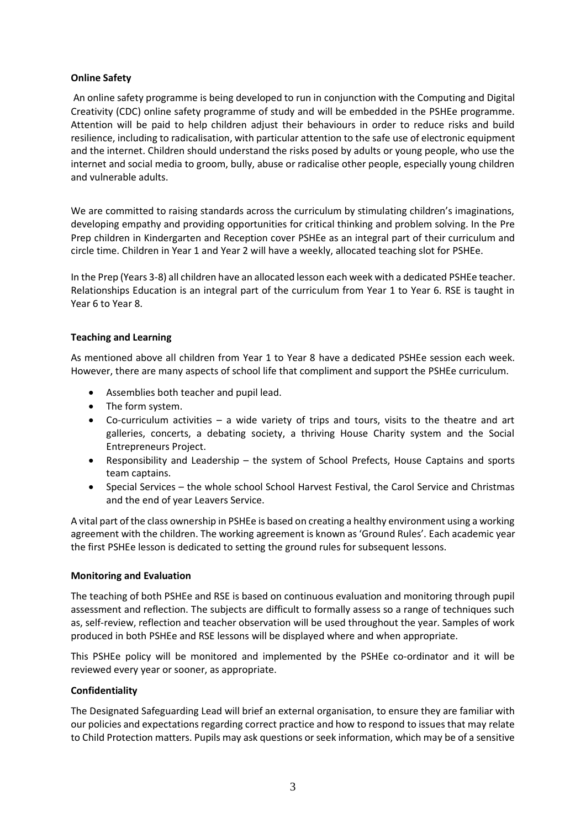## **Online Safety**

An online safety programme is being developed to run in conjunction with the Computing and Digital Creativity (CDC) online safety programme of study and will be embedded in the PSHEe programme. Attention will be paid to help children adjust their behaviours in order to reduce risks and build resilience, including to radicalisation, with particular attention to the safe use of electronic equipment and the internet. Children should understand the risks posed by adults or young people, who use the internet and social media to groom, bully, abuse or radicalise other people, especially young children and vulnerable adults.

We are committed to raising standards across the curriculum by stimulating children's imaginations, developing empathy and providing opportunities for critical thinking and problem solving. In the Pre Prep children in Kindergarten and Reception cover PSHEe as an integral part of their curriculum and circle time. Children in Year 1 and Year 2 will have a weekly, allocated teaching slot for PSHEe.

In the Prep (Years 3-8) all children have an allocated lesson each week with a dedicated PSHEe teacher. Relationships Education is an integral part of the curriculum from Year 1 to Year 6. RSE is taught in Year 6 to Year 8.

## **Teaching and Learning**

As mentioned above all children from Year 1 to Year 8 have a dedicated PSHEe session each week. However, there are many aspects of school life that compliment and support the PSHEe curriculum.

- Assemblies both teacher and pupil lead.
- The form system.
- Co-curriculum activities a wide variety of trips and tours, visits to the theatre and art galleries, concerts, a debating society, a thriving House Charity system and the Social Entrepreneurs Project.
- Responsibility and Leadership the system of School Prefects, House Captains and sports team captains.
- Special Services the whole school School Harvest Festival, the Carol Service and Christmas and the end of year Leavers Service.

A vital part of the class ownership in PSHEe is based on creating a healthy environment using a working agreement with the children. The working agreement is known as 'Ground Rules'. Each academic year the first PSHEe lesson is dedicated to setting the ground rules for subsequent lessons.

#### **Monitoring and Evaluation**

The teaching of both PSHEe and RSE is based on continuous evaluation and monitoring through pupil assessment and reflection. The subjects are difficult to formally assess so a range of techniques such as, self-review, reflection and teacher observation will be used throughout the year. Samples of work produced in both PSHEe and RSE lessons will be displayed where and when appropriate.

This PSHEe policy will be monitored and implemented by the PSHEe co-ordinator and it will be reviewed every year or sooner, as appropriate.

#### **Confidentiality**

The Designated Safeguarding Lead will brief an external organisation, to ensure they are familiar with our policies and expectations regarding correct practice and how to respond to issues that may relate to Child Protection matters. Pupils may ask questions or seek information, which may be of a sensitive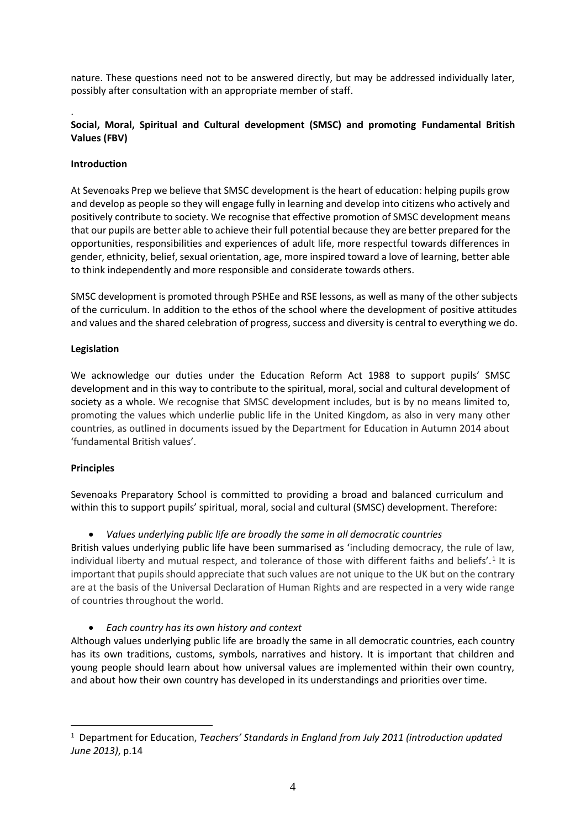nature. These questions need not to be answered directly, but may be addressed individually later, possibly after consultation with an appropriate member of staff.

## **Social, Moral, Spiritual and Cultural development (SMSC) and promoting Fundamental British Values (FBV)**

#### **Introduction**

.

At Sevenoaks Prep we believe that SMSC development is the heart of education: helping pupils grow and develop as people so they will engage fully in learning and develop into citizens who actively and positively contribute to society. We recognise that effective promotion of SMSC development means that our pupils are better able to achieve their full potential because they are better prepared for the opportunities, responsibilities and experiences of adult life, more respectful towards differences in gender, ethnicity, belief, sexual orientation, age, more inspired toward a love of learning, better able to think independently and more responsible and considerate towards others.

SMSC development is promoted through PSHEe and RSE lessons, as well as many of the other subjects of the curriculum. In addition to the ethos of the school where the development of positive attitudes and values and the shared celebration of progress, success and diversity is central to everything we do.

## **Legislation**

We acknowledge our duties under the Education Reform Act 1988 to support pupils' SMSC development and in this way to contribute to the spiritual, moral, social and cultural development of society as a whole. We recognise that SMSC development includes, but is by no means limited to, promoting the values which underlie public life in the United Kingdom, as also in very many other countries, as outlined in documents issued by the Department for Education in Autumn 2014 about 'fundamental British values'.

#### **Principles**

Sevenoaks Preparatory School is committed to providing a broad and balanced curriculum and within this to support pupils' spiritual, moral, social and cultural (SMSC) development. Therefore:

• *Values underlying public life are broadly the same in all democratic countries*

British values underlying public life have been summarised as 'including democracy, the rule of law, individual liberty and mutual respect, and tolerance of those with different faiths and beliefs'.<sup>1</sup> It is important that pupils should appreciate that such values are not unique to the UK but on the contrary are at the basis of the Universal Declaration of Human Rights and are respected in a very wide range of countries throughout the world.

• *Each country has its own history and context*

Although values underlying public life are broadly the same in all democratic countries, each country has its own traditions, customs, symbols, narratives and history. It is important that children and young people should learn about how universal values are implemented within their own country, and about how their own country has developed in its understandings and priorities over time.

<sup>&</sup>lt;sup>1</sup> Department for Education, *Teachers' Standards in England from July 2011 (introduction updated June 2013)*, p.14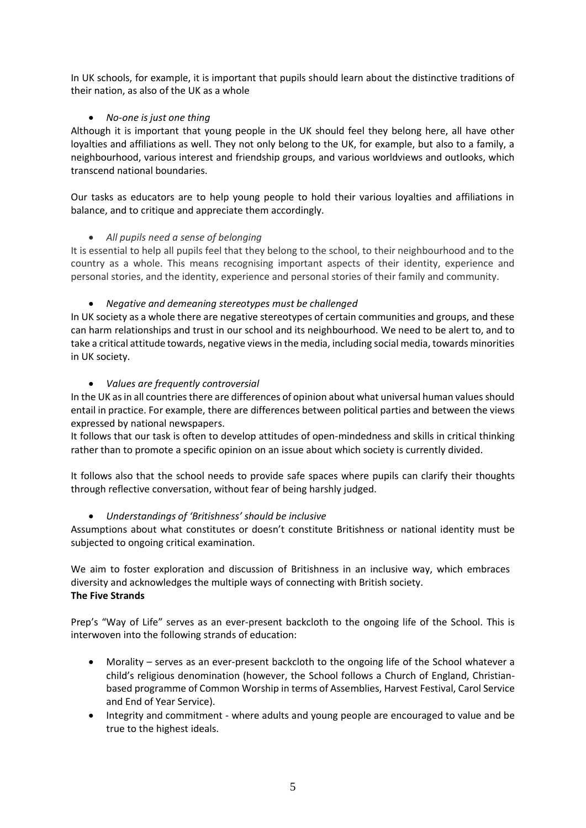In UK schools, for example, it is important that pupils should learn about the distinctive traditions of their nation, as also of the UK as a whole

## • *No-one is just one thing*

Although it is important that young people in the UK should feel they belong here, all have other loyalties and affiliations as well. They not only belong to the UK, for example, but also to a family, a neighbourhood, various interest and friendship groups, and various worldviews and outlooks, which transcend national boundaries.

Our tasks as educators are to help young people to hold their various loyalties and affiliations in balance, and to critique and appreciate them accordingly.

## • *All pupils need a sense of belonging*

It is essential to help all pupils feel that they belong to the school, to their neighbourhood and to the country as a whole. This means recognising important aspects of their identity, experience and personal stories, and the identity, experience and personal stories of their family and community.

## • *Negative and demeaning stereotypes must be challenged*

In UK society as a whole there are negative stereotypes of certain communities and groups, and these can harm relationships and trust in our school and its neighbourhood. We need to be alert to, and to take a critical attitude towards, negative views in the media, including social media, towards minorities in UK society.

## • *Values are frequently controversial*

In the UK as in all countries there are differences of opinion about what universal human values should entail in practice. For example, there are differences between political parties and between the views expressed by national newspapers.

It follows that our task is often to develop attitudes of open-mindedness and skills in critical thinking rather than to promote a specific opinion on an issue about which society is currently divided.

It follows also that the school needs to provide safe spaces where pupils can clarify their thoughts through reflective conversation, without fear of being harshly judged.

## • *Understandings of 'Britishness' should be inclusive*

Assumptions about what constitutes or doesn't constitute Britishness or national identity must be subjected to ongoing critical examination.

We aim to foster exploration and discussion of Britishness in an inclusive way, which embraces diversity and acknowledges the multiple ways of connecting with British society. **The Five Strands**

Prep's "Way of Life" serves as an ever-present backcloth to the ongoing life of the School. This is interwoven into the following strands of education:

- Morality serves as an ever-present backcloth to the ongoing life of the School whatever a child's religious denomination (however, the School follows a Church of England, Christianbased programme of Common Worship in terms of Assemblies, Harvest Festival, Carol Service and End of Year Service).
- Integrity and commitment where adults and young people are encouraged to value and be true to the highest ideals.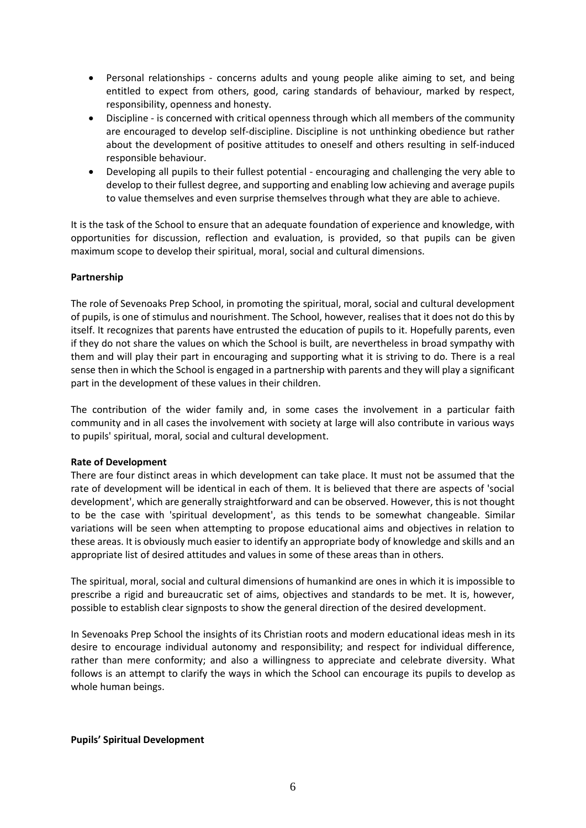- Personal relationships concerns adults and young people alike aiming to set, and being entitled to expect from others, good, caring standards of behaviour, marked by respect, responsibility, openness and honesty.
- Discipline is concerned with critical openness through which all members of the community are encouraged to develop self-discipline. Discipline is not unthinking obedience but rather about the development of positive attitudes to oneself and others resulting in self-induced responsible behaviour.
- Developing all pupils to their fullest potential encouraging and challenging the very able to develop to their fullest degree, and supporting and enabling low achieving and average pupils to value themselves and even surprise themselves through what they are able to achieve.

It is the task of the School to ensure that an adequate foundation of experience and knowledge, with opportunities for discussion, reflection and evaluation, is provided, so that pupils can be given maximum scope to develop their spiritual, moral, social and cultural dimensions.

## **Partnership**

The role of Sevenoaks Prep School, in promoting the spiritual, moral, social and cultural development of pupils, is one of stimulus and nourishment. The School, however, realises that it does not do this by itself. It recognizes that parents have entrusted the education of pupils to it. Hopefully parents, even if they do not share the values on which the School is built, are nevertheless in broad sympathy with them and will play their part in encouraging and supporting what it is striving to do. There is a real sense then in which the School is engaged in a partnership with parents and they will play a significant part in the development of these values in their children.

The contribution of the wider family and, in some cases the involvement in a particular faith community and in all cases the involvement with society at large will also contribute in various ways to pupils' spiritual, moral, social and cultural development.

#### **Rate of Development**

There are four distinct areas in which development can take place. It must not be assumed that the rate of development will be identical in each of them. It is believed that there are aspects of 'social development', which are generally straightforward and can be observed. However, this is not thought to be the case with 'spiritual development', as this tends to be somewhat changeable. Similar variations will be seen when attempting to propose educational aims and objectives in relation to these areas. It is obviously much easier to identify an appropriate body of knowledge and skills and an appropriate list of desired attitudes and values in some of these areas than in others.

The spiritual, moral, social and cultural dimensions of humankind are ones in which it is impossible to prescribe a rigid and bureaucratic set of aims, objectives and standards to be met. It is, however, possible to establish clear signposts to show the general direction of the desired development.

In Sevenoaks Prep School the insights of its Christian roots and modern educational ideas mesh in its desire to encourage individual autonomy and responsibility; and respect for individual difference, rather than mere conformity; and also a willingness to appreciate and celebrate diversity. What follows is an attempt to clarify the ways in which the School can encourage its pupils to develop as whole human beings.

#### **Pupils' Spiritual Development**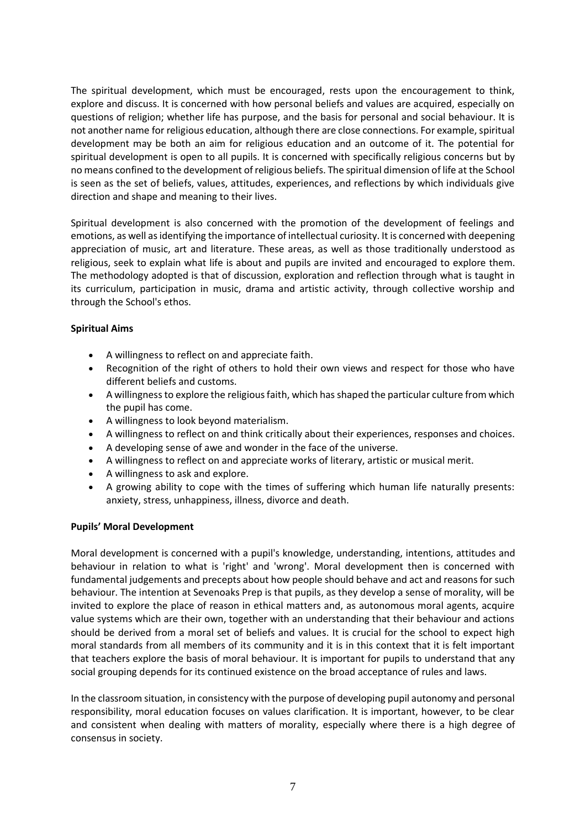The spiritual development, which must be encouraged, rests upon the encouragement to think, explore and discuss. It is concerned with how personal beliefs and values are acquired, especially on questions of religion; whether life has purpose, and the basis for personal and social behaviour. It is not another name for religious education, although there are close connections. For example, spiritual development may be both an aim for religious education and an outcome of it. The potential for spiritual development is open to all pupils. It is concerned with specifically religious concerns but by no means confined to the development of religious beliefs. The spiritual dimension of life at the School is seen as the set of beliefs, values, attitudes, experiences, and reflections by which individuals give direction and shape and meaning to their lives.

Spiritual development is also concerned with the promotion of the development of feelings and emotions, as well as identifying the importance of intellectual curiosity. It is concerned with deepening appreciation of music, art and literature. These areas, as well as those traditionally understood as religious, seek to explain what life is about and pupils are invited and encouraged to explore them. The methodology adopted is that of discussion, exploration and reflection through what is taught in its curriculum, participation in music, drama and artistic activity, through collective worship and through the School's ethos.

## **Spiritual Aims**

- A willingness to reflect on and appreciate faith.
- Recognition of the right of others to hold their own views and respect for those who have different beliefs and customs.
- A willingness to explore the religious faith, which has shaped the particular culture from which the pupil has come.
- A willingness to look beyond materialism.
- A willingness to reflect on and think critically about their experiences, responses and choices.
- A developing sense of awe and wonder in the face of the universe.
- A willingness to reflect on and appreciate works of literary, artistic or musical merit.
- A willingness to ask and explore.
- A growing ability to cope with the times of suffering which human life naturally presents: anxiety, stress, unhappiness, illness, divorce and death.

#### **Pupils' Moral Development**

Moral development is concerned with a pupil's knowledge, understanding, intentions, attitudes and behaviour in relation to what is 'right' and 'wrong'. Moral development then is concerned with fundamental judgements and precepts about how people should behave and act and reasons for such behaviour. The intention at Sevenoaks Prep is that pupils, as they develop a sense of morality, will be invited to explore the place of reason in ethical matters and, as autonomous moral agents, acquire value systems which are their own, together with an understanding that their behaviour and actions should be derived from a moral set of beliefs and values. It is crucial for the school to expect high moral standards from all members of its community and it is in this context that it is felt important that teachers explore the basis of moral behaviour. It is important for pupils to understand that any social grouping depends for its continued existence on the broad acceptance of rules and laws.

In the classroom situation, in consistency with the purpose of developing pupil autonomy and personal responsibility, moral education focuses on values clarification. It is important, however, to be clear and consistent when dealing with matters of morality, especially where there is a high degree of consensus in society.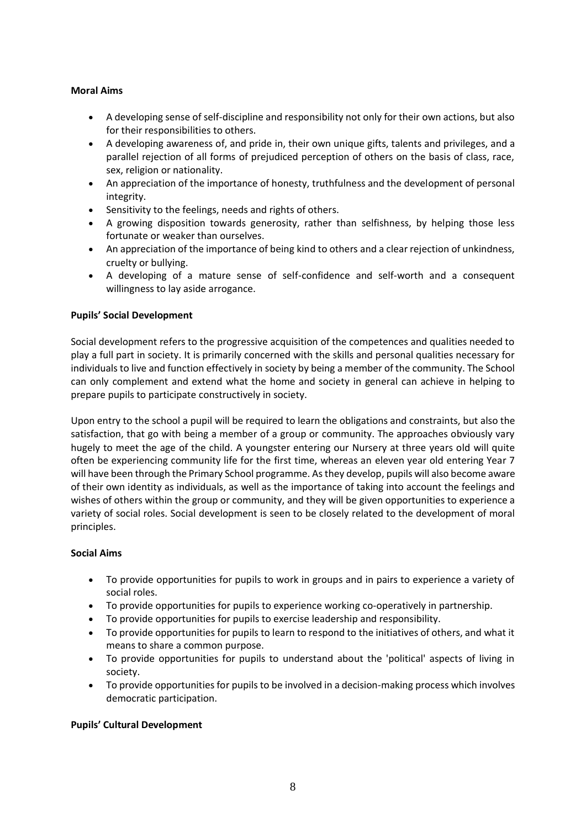## **Moral Aims**

- A developing sense of self-discipline and responsibility not only for their own actions, but also for their responsibilities to others.
- A developing awareness of, and pride in, their own unique gifts, talents and privileges, and a parallel rejection of all forms of prejudiced perception of others on the basis of class, race, sex, religion or nationality.
- An appreciation of the importance of honesty, truthfulness and the development of personal integrity.
- Sensitivity to the feelings, needs and rights of others.
- A growing disposition towards generosity, rather than selfishness, by helping those less fortunate or weaker than ourselves.
- An appreciation of the importance of being kind to others and a clear rejection of unkindness, cruelty or bullying.
- A developing of a mature sense of self-confidence and self-worth and a consequent willingness to lay aside arrogance.

## **Pupils' Social Development**

Social development refers to the progressive acquisition of the competences and qualities needed to play a full part in society. It is primarily concerned with the skills and personal qualities necessary for individuals to live and function effectively in society by being a member of the community. The School can only complement and extend what the home and society in general can achieve in helping to prepare pupils to participate constructively in society.

Upon entry to the school a pupil will be required to learn the obligations and constraints, but also the satisfaction, that go with being a member of a group or community. The approaches obviously vary hugely to meet the age of the child. A youngster entering our Nursery at three years old will quite often be experiencing community life for the first time, whereas an eleven year old entering Year 7 will have been through the Primary School programme. As they develop, pupils will also become aware of their own identity as individuals, as well as the importance of taking into account the feelings and wishes of others within the group or community, and they will be given opportunities to experience a variety of social roles. Social development is seen to be closely related to the development of moral principles.

#### **Social Aims**

- To provide opportunities for pupils to work in groups and in pairs to experience a variety of social roles.
- To provide opportunities for pupils to experience working co-operatively in partnership.
- To provide opportunities for pupils to exercise leadership and responsibility.
- To provide opportunities for pupils to learn to respond to the initiatives of others, and what it means to share a common purpose.
- To provide opportunities for pupils to understand about the 'political' aspects of living in society.
- To provide opportunities for pupils to be involved in a decision-making process which involves democratic participation.

#### **Pupils' Cultural Development**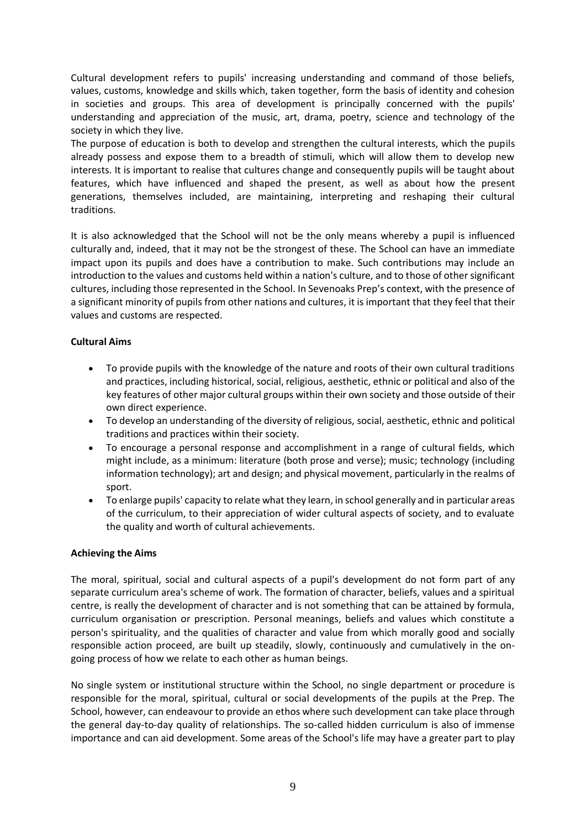Cultural development refers to pupils' increasing understanding and command of those beliefs, values, customs, knowledge and skills which, taken together, form the basis of identity and cohesion in societies and groups. This area of development is principally concerned with the pupils' understanding and appreciation of the music, art, drama, poetry, science and technology of the society in which they live.

The purpose of education is both to develop and strengthen the cultural interests, which the pupils already possess and expose them to a breadth of stimuli, which will allow them to develop new interests. It is important to realise that cultures change and consequently pupils will be taught about features, which have influenced and shaped the present, as well as about how the present generations, themselves included, are maintaining, interpreting and reshaping their cultural traditions.

It is also acknowledged that the School will not be the only means whereby a pupil is influenced culturally and, indeed, that it may not be the strongest of these. The School can have an immediate impact upon its pupils and does have a contribution to make. Such contributions may include an introduction to the values and customs held within a nation's culture, and to those of other significant cultures, including those represented in the School. In Sevenoaks Prep's context, with the presence of a significant minority of pupils from other nations and cultures, it is important that they feel that their values and customs are respected.

## **Cultural Aims**

- To provide pupils with the knowledge of the nature and roots of their own cultural traditions and practices, including historical, social, religious, aesthetic, ethnic or political and also of the key features of other major cultural groups within their own society and those outside of their own direct experience.
- To develop an understanding of the diversity of religious, social, aesthetic, ethnic and political traditions and practices within their society.
- To encourage a personal response and accomplishment in a range of cultural fields, which might include, as a minimum: literature (both prose and verse); music; technology (including information technology); art and design; and physical movement, particularly in the realms of sport.
- To enlarge pupils' capacity to relate what they learn, in school generally and in particular areas of the curriculum, to their appreciation of wider cultural aspects of society, and to evaluate the quality and worth of cultural achievements.

#### **Achieving the Aims**

The moral, spiritual, social and cultural aspects of a pupil's development do not form part of any separate curriculum area's scheme of work. The formation of character, beliefs, values and a spiritual centre, is really the development of character and is not something that can be attained by formula, curriculum organisation or prescription. Personal meanings, beliefs and values which constitute a person's spirituality, and the qualities of character and value from which morally good and socially responsible action proceed, are built up steadily, slowly, continuously and cumulatively in the ongoing process of how we relate to each other as human beings.

No single system or institutional structure within the School, no single department or procedure is responsible for the moral, spiritual, cultural or social developments of the pupils at the Prep. The School, however, can endeavour to provide an ethos where such development can take place through the general day-to-day quality of relationships. The so-called hidden curriculum is also of immense importance and can aid development. Some areas of the School's life may have a greater part to play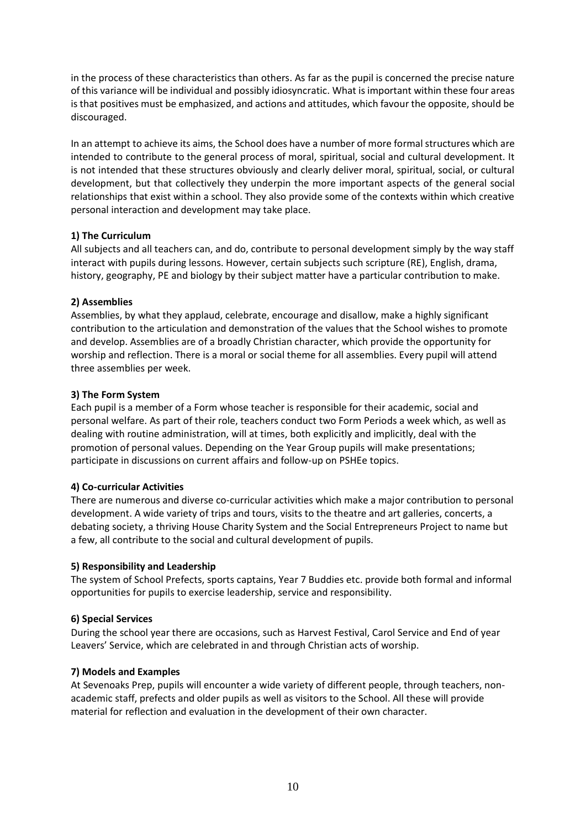in the process of these characteristics than others. As far as the pupil is concerned the precise nature of this variance will be individual and possibly idiosyncratic. What is important within these four areas is that positives must be emphasized, and actions and attitudes, which favour the opposite, should be discouraged.

In an attempt to achieve its aims, the School does have a number of more formal structures which are intended to contribute to the general process of moral, spiritual, social and cultural development. It is not intended that these structures obviously and clearly deliver moral, spiritual, social, or cultural development, but that collectively they underpin the more important aspects of the general social relationships that exist within a school. They also provide some of the contexts within which creative personal interaction and development may take place.

## **1) The Curriculum**

All subjects and all teachers can, and do, contribute to personal development simply by the way staff interact with pupils during lessons. However, certain subjects such scripture (RE), English, drama, history, geography, PE and biology by their subject matter have a particular contribution to make.

## **2) Assemblies**

Assemblies, by what they applaud, celebrate, encourage and disallow, make a highly significant contribution to the articulation and demonstration of the values that the School wishes to promote and develop. Assemblies are of a broadly Christian character, which provide the opportunity for worship and reflection. There is a moral or social theme for all assemblies. Every pupil will attend three assemblies per week.

## **3) The Form System**

Each pupil is a member of a Form whose teacher is responsible for their academic, social and personal welfare. As part of their role, teachers conduct two Form Periods a week which, as well as dealing with routine administration, will at times, both explicitly and implicitly, deal with the promotion of personal values. Depending on the Year Group pupils will make presentations; participate in discussions on current affairs and follow-up on PSHEe topics.

#### **4) Co-curricular Activities**

There are numerous and diverse co-curricular activities which make a major contribution to personal development. A wide variety of trips and tours, visits to the theatre and art galleries, concerts, a debating society, a thriving House Charity System and the Social Entrepreneurs Project to name but a few, all contribute to the social and cultural development of pupils.

#### **5) Responsibility and Leadership**

The system of School Prefects, sports captains, Year 7 Buddies etc. provide both formal and informal opportunities for pupils to exercise leadership, service and responsibility.

## **6) Special Services**

During the school year there are occasions, such as Harvest Festival, Carol Service and End of year Leavers' Service, which are celebrated in and through Christian acts of worship.

#### **7) Models and Examples**

At Sevenoaks Prep, pupils will encounter a wide variety of different people, through teachers, nonacademic staff, prefects and older pupils as well as visitors to the School. All these will provide material for reflection and evaluation in the development of their own character.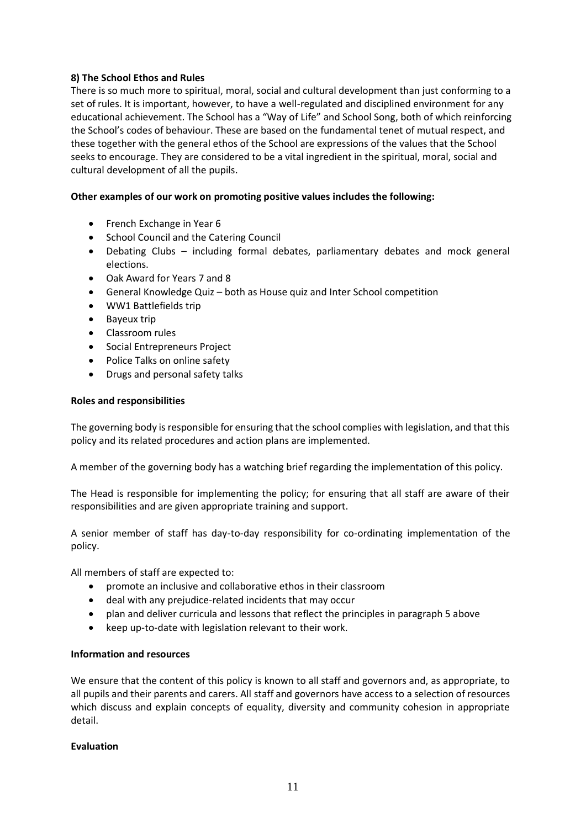## **8) The School Ethos and Rules**

There is so much more to spiritual, moral, social and cultural development than just conforming to a set of rules. It is important, however, to have a well-regulated and disciplined environment for any educational achievement. The School has a "Way of Life" and School Song, both of which reinforcing the School's codes of behaviour. These are based on the fundamental tenet of mutual respect, and these together with the general ethos of the School are expressions of the values that the School seeks to encourage. They are considered to be a vital ingredient in the spiritual, moral, social and cultural development of all the pupils.

## **Other examples of our work on promoting positive values includes the following:**

- French Exchange in Year 6
- School Council and the Catering Council
- Debating Clubs including formal debates, parliamentary debates and mock general elections.
- Oak Award for Years 7 and 8
- General Knowledge Quiz both as House quiz and Inter School competition
- WW1 Battlefields trip
- Bayeux trip
- Classroom rules
- Social Entrepreneurs Project
- Police Talks on online safety
- Drugs and personal safety talks

#### **Roles and responsibilities**

The governing body is responsible for ensuring that the school complies with legislation, and that this policy and its related procedures and action plans are implemented.

A member of the governing body has a watching brief regarding the implementation of this policy.

The Head is responsible for implementing the policy; for ensuring that all staff are aware of their responsibilities and are given appropriate training and support.

A senior member of staff has day-to-day responsibility for co-ordinating implementation of the policy.

All members of staff are expected to:

- promote an inclusive and collaborative ethos in their classroom
- deal with any prejudice-related incidents that may occur
- plan and deliver curricula and lessons that reflect the principles in paragraph 5 above
- keep up-to-date with legislation relevant to their work.

#### **Information and resources**

We ensure that the content of this policy is known to all staff and governors and, as appropriate, to all pupils and their parents and carers. All staff and governors have access to a selection of resources which discuss and explain concepts of equality, diversity and community cohesion in appropriate detail.

#### **Evaluation**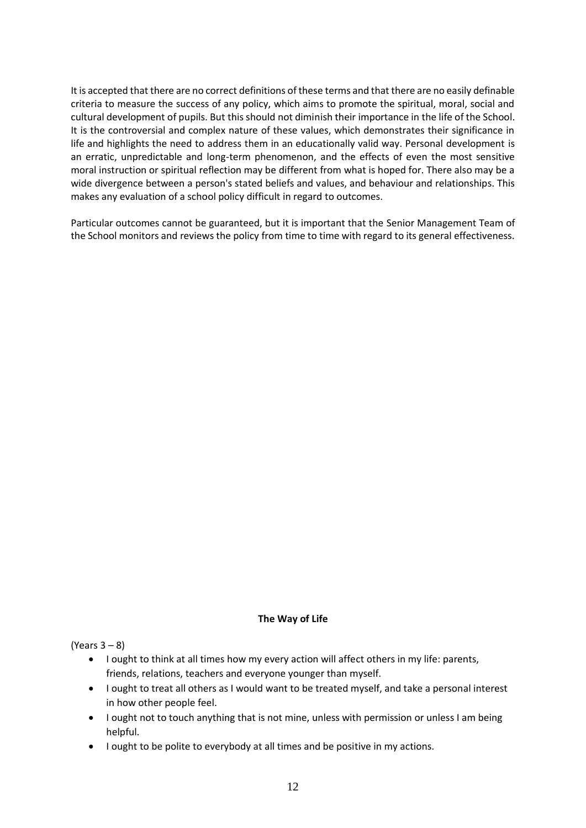It is accepted that there are no correct definitions of these terms and that there are no easily definable criteria to measure the success of any policy, which aims to promote the spiritual, moral, social and cultural development of pupils. But this should not diminish their importance in the life of the School. It is the controversial and complex nature of these values, which demonstrates their significance in life and highlights the need to address them in an educationally valid way. Personal development is an erratic, unpredictable and long-term phenomenon, and the effects of even the most sensitive moral instruction or spiritual reflection may be different from what is hoped for. There also may be a wide divergence between a person's stated beliefs and values, and behaviour and relationships. This makes any evaluation of a school policy difficult in regard to outcomes.

Particular outcomes cannot be guaranteed, but it is important that the Senior Management Team of the School monitors and reviews the policy from time to time with regard to its general effectiveness.

#### **The Way of Life**

(Years 3 – 8)

- I ought to think at all times how my every action will affect others in my life: parents, friends, relations, teachers and everyone younger than myself.
- I ought to treat all others as I would want to be treated myself, and take a personal interest in how other people feel.
- I ought not to touch anything that is not mine, unless with permission or unless I am being helpful.
- I ought to be polite to everybody at all times and be positive in my actions.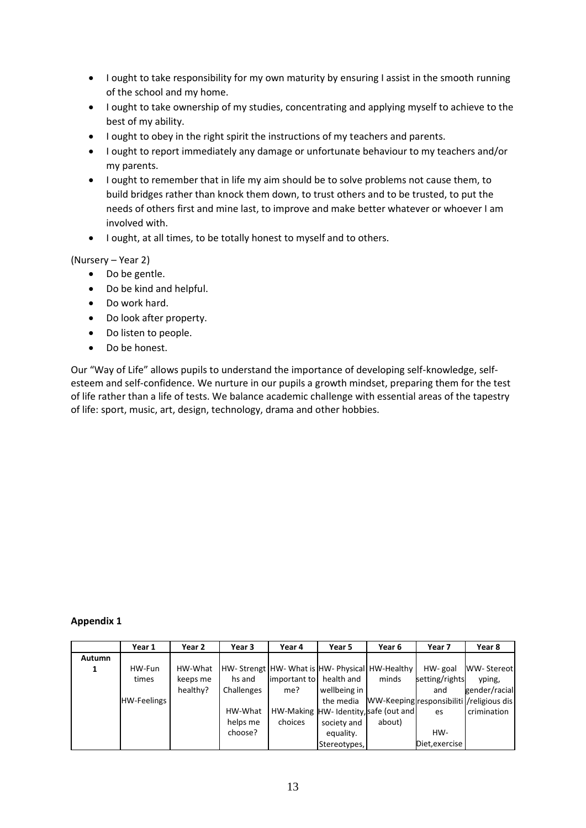- I ought to take responsibility for my own maturity by ensuring I assist in the smooth running of the school and my home.
- I ought to take ownership of my studies, concentrating and applying myself to achieve to the best of my ability.
- I ought to obey in the right spirit the instructions of my teachers and parents.
- I ought to report immediately any damage or unfortunate behaviour to my teachers and/or my parents.
- I ought to remember that in life my aim should be to solve problems not cause them, to build bridges rather than knock them down, to trust others and to be trusted, to put the needs of others first and mine last, to improve and make better whatever or whoever I am involved with.
- I ought, at all times, to be totally honest to myself and to others.

## (Nursery – Year 2)

- Do be gentle.
- Do be kind and helpful.
- Do work hard.
- Do look after property.
- Do listen to people.
- Do be honest.

Our "Way of Life" allows pupils to understand the importance of developing self-knowledge, selfesteem and self-confidence. We nurture in our pupils a growth mindset, preparing them for the test of life rather than a life of tests. We balance academic challenge with essential areas of the tapestry of life: sport, music, art, design, technology, drama and other hobbies.

#### **Appendix 1**

|        | Year 1             | Year 2   | Year 3     | Year 4                                       | Year 5                               | Year 6 | Year 7         | Year 8                                    |
|--------|--------------------|----------|------------|----------------------------------------------|--------------------------------------|--------|----------------|-------------------------------------------|
| Autumn |                    |          |            |                                              |                                      |        |                |                                           |
|        | HW-Fun             | HW-What  |            | HW-Strengt HW-What is HW-Physical HW-Healthy |                                      |        | HW-goal        | <b>WW-Stereotl</b>                        |
|        | times              | keeps me | hs and     | limportant to health and                     |                                      | minds  | setting/rights | yping,                                    |
|        |                    | healthy? | Challenges | me?                                          | wellbeing in                         |        | and            | gender/racial                             |
|        | <b>HW-Feelings</b> |          |            |                                              | the media                            |        |                | WW-Keeping responsibiliti / religious dis |
|        |                    |          | HW-What    |                                              | HW-Making HW-Identity, safe (out and |        | es             | crimination                               |
|        |                    |          | helps me   | choices                                      | society and                          | about) |                |                                           |
|        |                    |          | choose?    |                                              | equality.                            |        | HW-            |                                           |
|        |                    |          |            |                                              | Stereotypes,                         |        | Diet, exercise |                                           |